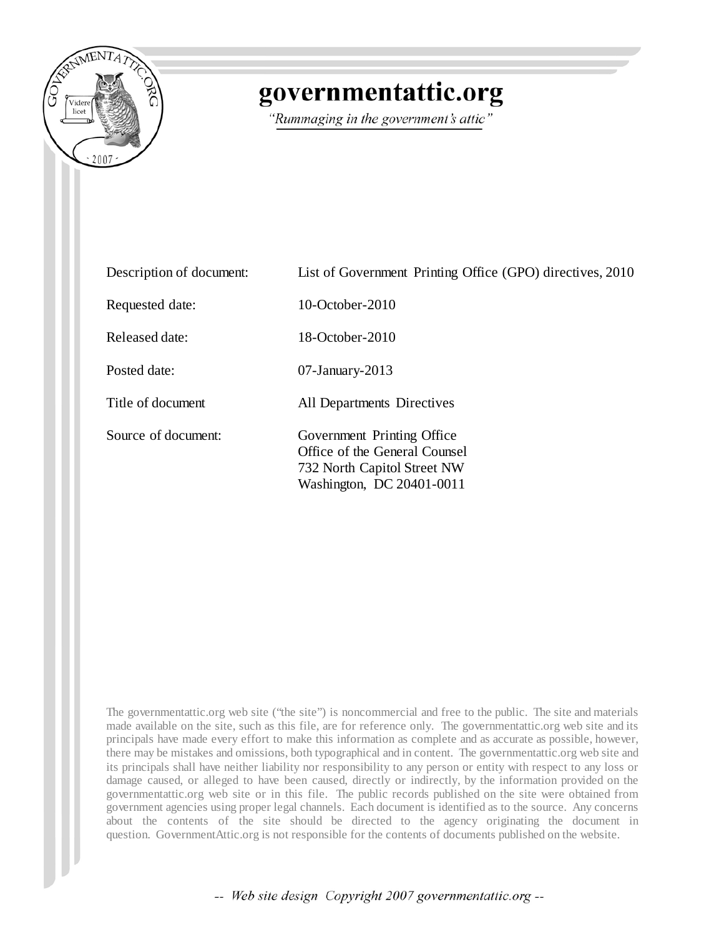

## governmentattic.org

"Rummaging in the government's attic"

| Description of document: | List of Government Printing Office (GPO) directives, 2010                                                               |
|--------------------------|-------------------------------------------------------------------------------------------------------------------------|
| Requested date:          | $10$ -October-2010                                                                                                      |
| Released date:           | 18-October-2010                                                                                                         |
| Posted date:             | $07$ -January-2013                                                                                                      |
| Title of document        | All Departments Directives                                                                                              |
| Source of document:      | Government Printing Office<br>Office of the General Counsel<br>732 North Capitol Street NW<br>Washington, DC 20401-0011 |

The governmentattic.org web site ("the site") is noncommercial and free to the public. The site and materials made available on the site, such as this file, are for reference only. The governmentattic.org web site and its principals have made every effort to make this information as complete and as accurate as possible, however, there may be mistakes and omissions, both typographical and in content. The governmentattic.org web site and its principals shall have neither liability nor responsibility to any person or entity with respect to any loss or damage caused, or alleged to have been caused, directly or indirectly, by the information provided on the governmentattic.org web site or in this file. The public records published on the site were obtained from government agencies using proper legal channels. Each document is identified as to the source. Any concerns about the contents of the site should be directed to the agency originating the document in question. GovernmentAttic.org is not responsible for the contents of documents published on the website.

-- Web site design Copyright 2007 governmentattic.org --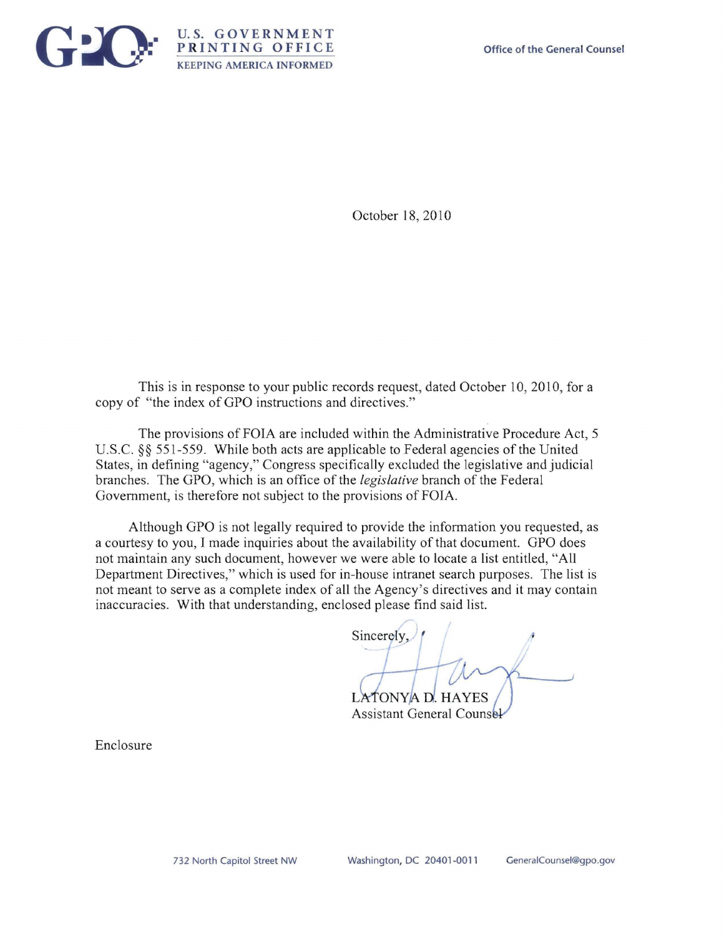

October 18, 2010

This is in response to your public records request, dated October 10, 2010, for a copy of "the index of GPO instructions and directives."

The provisions of FOIA are included within the Administrative Procedure Act, 5 U.S.C. §§ 551-559. While both acts are applicable to Federal agencies of the United States, in defining "agency," Congress specifically excluded the legislative and judicial branches. The GPO, which is an office of the *legislative* branch of the Federal Government, is therefore not subject to the provisions of FOIA.

Although GPO is not legally required to provide the information you requested, as a courtesy to you, I made inquiries about the availability of that document. GPO does not maintain any such document, however we were able to locate a list entitled, "All Department Directives," which is used for in-house intranet search purposes. The list is not meant to serve as a complete index of all the Agency's directives and it may contain **inaccuracies. With that understanding, enclosed please find said list.** 

Sincerely,

LATONYA D. HAYES **Assistant General Counsel** 

Enclosure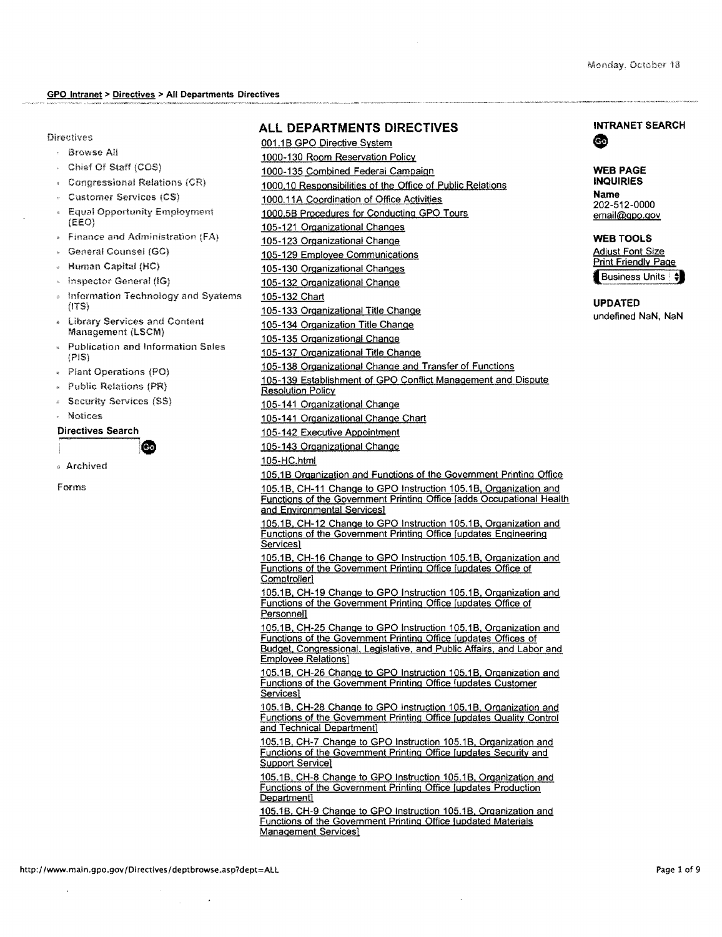#### Directives

- Browse All
- Chief Of Staff (COS)
- Congressional Relations
- Customer Services (CS)
- **Equal Opportunity Employment**  $(EEO)$
- Finance and Administration (FA)
- General Counsel (GC)
- Human Capital (HC)
- Inspector General (IG)
- Information Technology and Syatems (ITS)
- Library Services and Content Management (LSCM)
- Publication and Information Sales (PIS)

Ge

- Plant Operations (PO}
- Public Relations (PR}
- Security Services (SS}
- Notices

#### Directives Search

" Archived

forms

### **ALL DEPARTMENTS DIRECTIVES**

001.1B GPO Directive System 1000-130 Room Reservation Policy 1000-135 Combined Federal Campaign 1000.10 Responsibilities of the Office of Public Relations 1000.11A Coordination of Office Activities 1000.5B Procedures for Conducting GPO Tours 105-121 Organizational Changes 105-123 Organizational Change 105-129 Employee Communications 105-130 Organizational Changes 105-132 Organizational Change 105-132 Chart 105-133 Organizational Title Change 105-134 Organization Title Change 105-135 Organizational Change 105-137 Organizational Title Change 105-138 Organizational Change and Transfer of Functions 105-139 Establishment of GPO Conflict Management and Dispute **Resolution Policy** 105-141 Organizational Change 105-141 Organizational Change Chart 105-142 Executive Appointment 105-143 Organizational Change 1 05-HC.html 105.1B Organization and Functions of the Government Printing Office 105.1B, CH-11 Change to GPO Instruction 105.1B, Organization and Functions of the Government Printing Office [adds Occupational Health and Environmental Services] 105.1B. CH-12 Change to GPO Instruction 105.1B. Organization and Functions of the Government Printing Office [updates Engineering Services] 105.1B, CH-16 Change to GPO Instruction 105.1B, Organization and Functions of the Government Printing Office [updates Office of Comptroller] 105.1B, CH-19 Change to GPO Instruction 105.1B, Organization and Functions of the Government Printing Office [updates Office of Personnell 105.1B. CH-25 Change to GPO Instruction 105.1B. Organization and Functions of the Government Printing Office [updates Offices of Budget, Congressional, Legislative, and Public Affairs. and Labor and Employee Relations] 105.1B, CH-26 Change to GPO Instruction 105.1B. Organization and Functions of the Government Printing Office [updates Customer Services] 105.1B. CH-28 Change to GPO Instruction 105.1B. Organization and Functions of the Government Printing Office [updates Quality Control and Technical Department] 105.1B, CH-7 Change to GPO Instruction 105.1B, Organization and Functions of the Government Printing Office [updates Security and Support Service) 105.1B. CH-8 Change to GPO Instruction 105.1B, Organization and Functions of the Government Printing Office [updates Production Department] 105.1B, CH-9 Change to GPO Instruction 105.1B. Organization and Functions of the Government Printing Office [updated Materials Management Services]

# **INTRANET SEARCH**<br> **•••**<br> **WER PAGE**

#### **WEB PAGE INQUIRIES Name**

202-512-0000 email@gpo.gov

#### **WEB TOOLS Adjust Font Size** Print Friendly Page Business Units  $\frac{4}{3}$

**UPDATED**  undefined NaN, NaN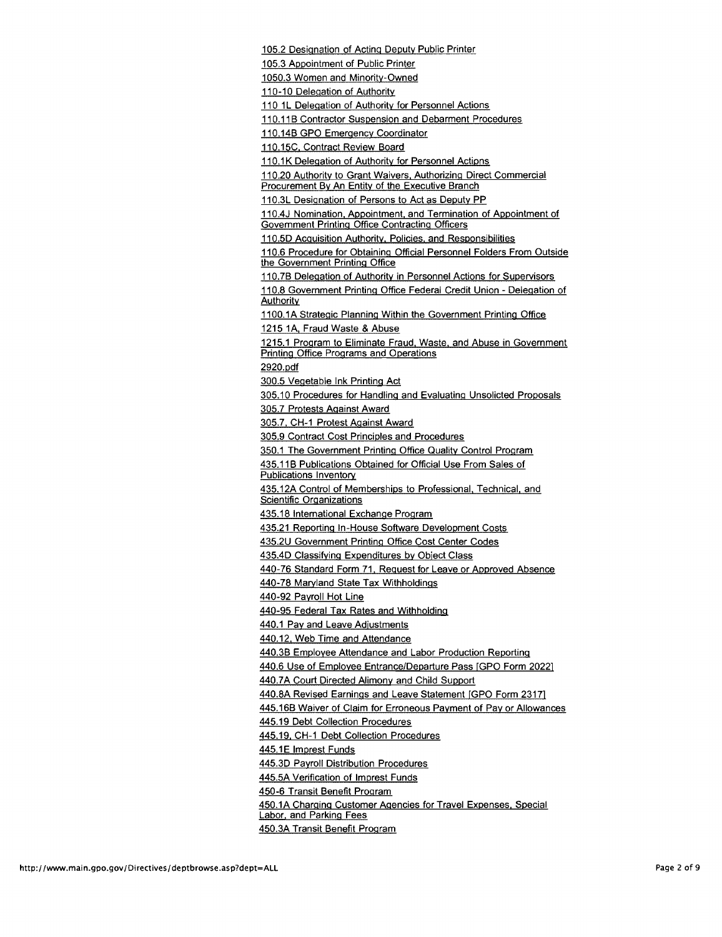105.2 Designation of Acting Deputy Public Printer

105.3 Appointment of Public Printer

1050.3 Women and Minority-Owned

110-10 Delegation of Authority

110 1L Delegation of Authority for Personnel Actions

110.11B Contractor Suspension and Debarment Procedures

110.14B GPO Emergency Coordinator

110.15C, Contract Review Board

110.1K Delegation of Authority for Personnel Actions

110.20 Authority to Grant Waivers. Authorizing Direct Commercial Procurement By An Entity of the Executive Branch

110.3L Designation of Persons to Act as Deputy PP

110.4J Nomination. Appointment. and Termination of Appointment of Government Printing Office Contracting Officers

110.5D Acquisition Authority, Policies, and Responsibilities

110.6 Procedure for Obtaining Official Personnel Folders From Outside the Government Printing Office

110.7B Delegation of Authority in Personnel Actions for Supervisors

11 0.8 Government Printing Office Federal Credit Union - Delegation of Authority

1100.1A Strategic Planning Within the Government Printing Office 1215 1A, Fraud Waste & Abuse

1215.1 Program to Eliminate Fraud. Waste. and Abuse in Government Printing Office Programs and Operations

2920.pdf

300.5 Vegetable Ink Printing Act

305.10 Procedures for Handling and Evaluating Unsolicted Proposals

305.7 Protests Against Award

305.7. CH-1 Protest Against Award

305.9 Contract Cost Principles and Procedures

350.1 The Government Printing Office Quality Control Program

435.11B Publications Obtained for Official Use From Sales of Publications Inventory

435.12A Control of Memberships to Professional. Technical. and Scientific Organizations

435.18 International Exchange Program

435.21 Reporting In-House Software Development Costs

435.2U Government Printing Office Cost Center Codes

435.4D Classifving Expenditures by Object Class

440-76 Standard Form 71. Request for Leave or Approved Absence

440-78 Maryland State Tax Withholdings

440-92 Payroll Hot Line

440-95 Federal Tax Rates and Withholding

440.1 Pay and Leave Adjustments

440.12. Web Time and Attendance

440.3B Employee Attendance and Labor Production Reporting

440.6 Use of Employee Entrance/Departure Pass [GPO Form 20221

440.7A Court Directed Alimony and Child Support

440.8A Revised Earnings and Leave Statement [GPO Form 23171

445.16B Waiver of Claim for Erroneous Payment of Pay or Allowances

445.19 Debt Collection Procedures

445.19. CH-1 Debt Collection Procedures

445.1E Imprest Funds

445.3D Payroll Distribution Procedures

445.5A Verification of lmprest Funds

450-6 Transit Benefit Program

450.1A Charging Customer Agencies for Travel Expenses. Special

Labor. and Parking Fees

450.3A Transit Benefit Program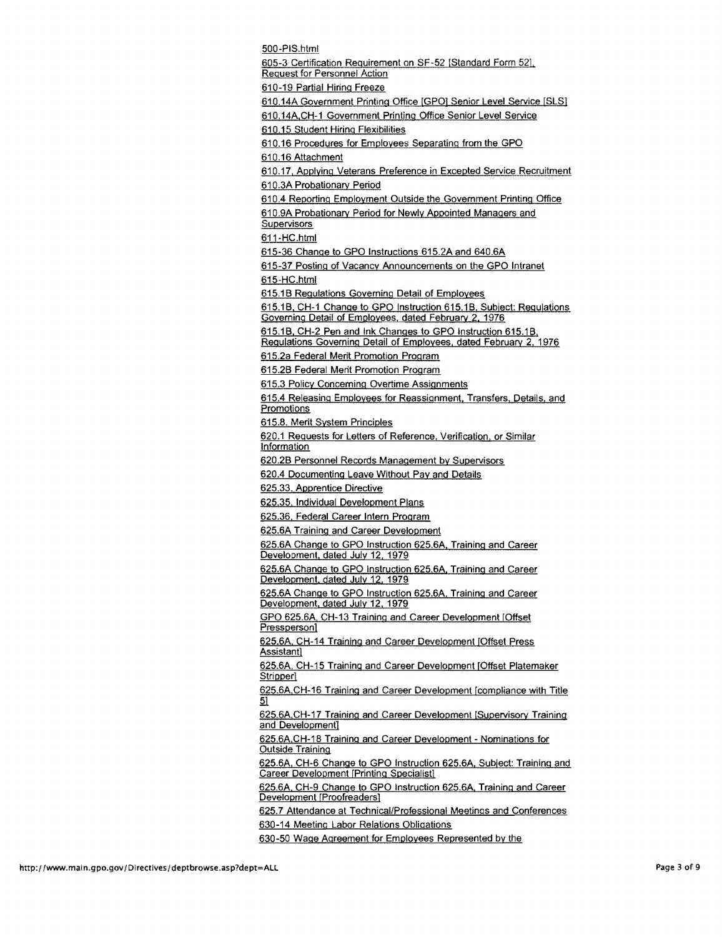500-PIS.html 605-3 Certification Requirement on SF-52 [Standard Form 521. Request for Personnel Action 61 0-19 Partial Hiring Freeze 610.14A Government Printing Office [GPO] Senior Level Service [SLS] 610.14A.CH-1 Government Printing Office Senior Level Service 610.15 Student Hiring Flexibilities 610.16 Procedures for Employees Separating from the GPO 610.16 Attachment 610.17, Applying Veterans Preference in Excepted Service Recruitment 61 0.3A Probationary Period 610.4 Reporting Employment Outside the Government Printing Office 61 0.9A Probationary Period for Newly Appointed Managers and **Supervisors** 611-HC.html 615-36 Change to GPO Instructions 615.2A and 640.6A 615-37 Posting of Vacancy Announcements on the GPO Intranet 615-HC.html 615.16 Regulations Governing Detail of Employees 615.16. CH-1 Change to GPO Instruction 615.16. Subject: Regulations Governing Detail of Employees. dated February 2. 1976 615.16. CH-2 Pen and Ink Changes to GPO Instruction 615.16. Regulations Governing Detail of Employees. dated February 2, 1976 615.2a Federal Merit Promotion Program 615.26 Federal Merit Promotion Program 615.3 Policy Concerning Overtime Assignments 615.4 Releasing Employees for Reassignment. Transfers. Details. and **Promotions** 615.8. Merit System Principles 620.1 Requests for Letters of Reference. Verification. or Similar Information 620.26 Personnel Records Management by Supervisors 620.4 Documenting Leave Without Pav and Details 625.33. Apprentice Directive 625.35. Individual Development Plans 625.36. Federal Career Intern Program 625.6A Training and Career Development 625.6A Change to GPO Instruction 625.6A, Training and Career Development, dated July 12, 1979 625.6A Change to GPO Instruction 625.6A. Training and Career Development. dated July 12. 1979 625.6A Change to GPO Instruction 625.6A. Training and Career Development, dated July 12, 1979 GPO 625.6A. CH-13 Training and Career Development [Offset Pressperson] 625.6A. CH-14 Training and Career Development [Offset Press Assistant] 625.6A. CH-15 Training and Career Development [Offset Platemaker Stripper] 625.6A.CH-16 Training and Career Development [compliance with Title 51 625.6A.CH-17 Training and Career Development [Supervisory Training and Development] 625.6A.CH-18 Training and Career Development- Nominations for **Outside Training** 625.6A. CH-6 Change to GPO Instruction 625.6A. Subject: Training and **Career Development [Printing Specialist]** 625.6A. CH-9 Change to GPO Instruction 625.6A. Training and Career Development [Proofreaders) 625.7 Attendance at Technical/Professional Meetings and Conferences 630-14 Meeting Labor Relations Obligations 630-50 Wage Agreement for Employees Represented by the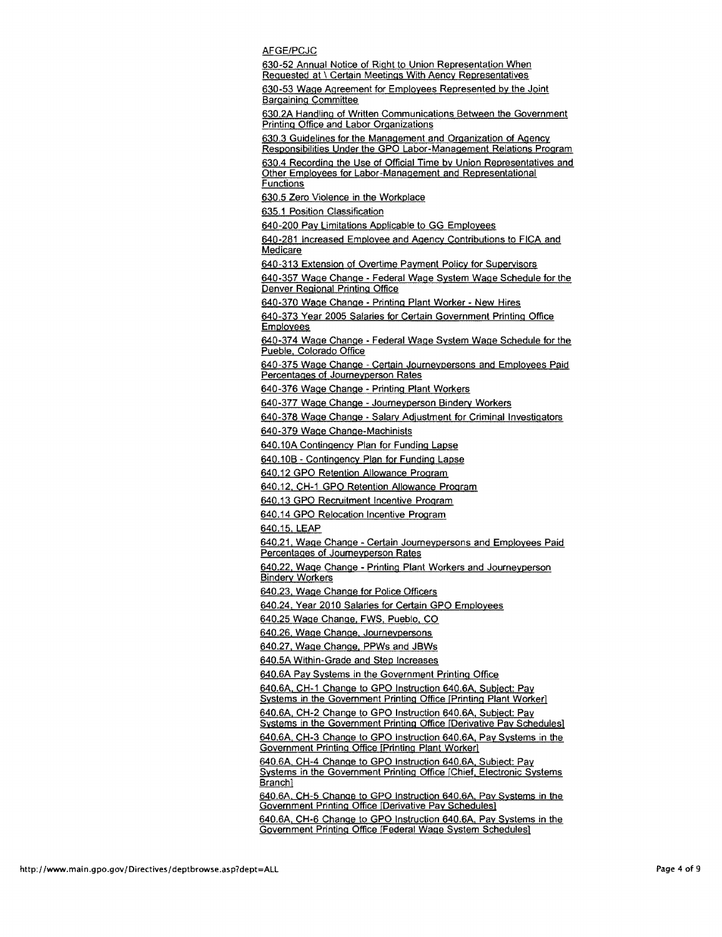AFGE/PCJC

630-52 Annual Notice of Right to Union Representation When Requested at \ Certain Meetings With Aency Representatives

630-53 Wage Agreement for Employees Represented by the Joint Bargaining Committee

630.2A Handling of Written Communications Between the Government Printing Office and Labor Organizations

630.3 Guidelines for the Management and Organization of Agency Responsibilities Under the GPO Labor-Management Relations Program

630.4 Recording the Use of Official Time by Union Representatives and Other Employees for Labor-Management and Representational Functions

630.5 Zero Violence in the Workplace

635.1 Position Classification

640-200 Pay Limitations Applicable to GG Employees

640-281 Increased Employee and Agency Contributions to FICA and Medicare

640-313 Extension of Overtime Payment Policy for Supervisors

640-357 Wage Change - Federal Wage System Wage Schedule for the Denver Regional Printing Office

640-370 Wage Change - Printing Plant Worker - New Hires

640-373 Year 2005 Salaries for Certain Government Printing Office Employees

640-374 Wage Change- Federal Wage System Wage Schedule for the Pueble. Colorado Office

640-375 Wage Change- Certain Journeypersons and Employees Paid Percentages of Joumeyperson Rates

640-376 Wage Change - Printing Plant Workers

640-377 Wage Change - Joumeyperson Bindery Workers

640-378 Wage Change - Salary Adjustment for Criminal Investigators

640-379 Wage Change-Machinists

640.10A Contingency Plan for Funding Lapse

640.10B- Contingency Plan for Funding Lapse

640.12 GPO Retention Allowance Program

640.12. CH-1 GPO Retention Allowance Program

640.13 GPO Recruitment Incentive Program

640.14 GPO Relocation Incentive Program

640.15, LEAP

640.21, Wage Change -Certain Joumeypersons and Employees Paid Percentages of Joumeyperson Rates

640.22, Wage Change - Printing Plant Workers and Journeyperson Bindery Workers

640.23, Wage Change for Police Officers

640.24. Year 2010 Salaries for Certain GPO Employees

640.25 Wage Change. FWS, Pueblo, CO

640.26. Wage Change. Journeypersons

640.27. Wage Change. PPWs and JBWs

640.5A Within-Grade and Step Increases

640.6A Pay Systems in the Government Printing Office

640.6A. CH-1 Change to GPO Instruction 640.6A. Subject: Pay Systems in the Government Printing Office [Printing Plant Worker]

640.6A. CH-2 Change to GPO Instruction 640.6A, Subject: Pay

Systems in the Government Printing Office [Derivative Pay Schedules] 640.6A. CH-3 Change to GPO Instruction 640.6A. Pay Systems in the

Government Printing Office [Printing Plant Worker]

640.6A. CH-4 Change to GPO Instruction 640.6A. Subject: Pay Systems in the Government Printing Office [Chief. Electronic Systems Branch)

640.6A, CH-5 Change to GPO Instruction 640.6A, Pay Systems in the Government Printing Office [Derivative Pay Schedules)

640.6A. CH-6 Change to GPO Instruction 640.6A. Pay Systems in the Government Printing Office [Federal Wage System Schedules]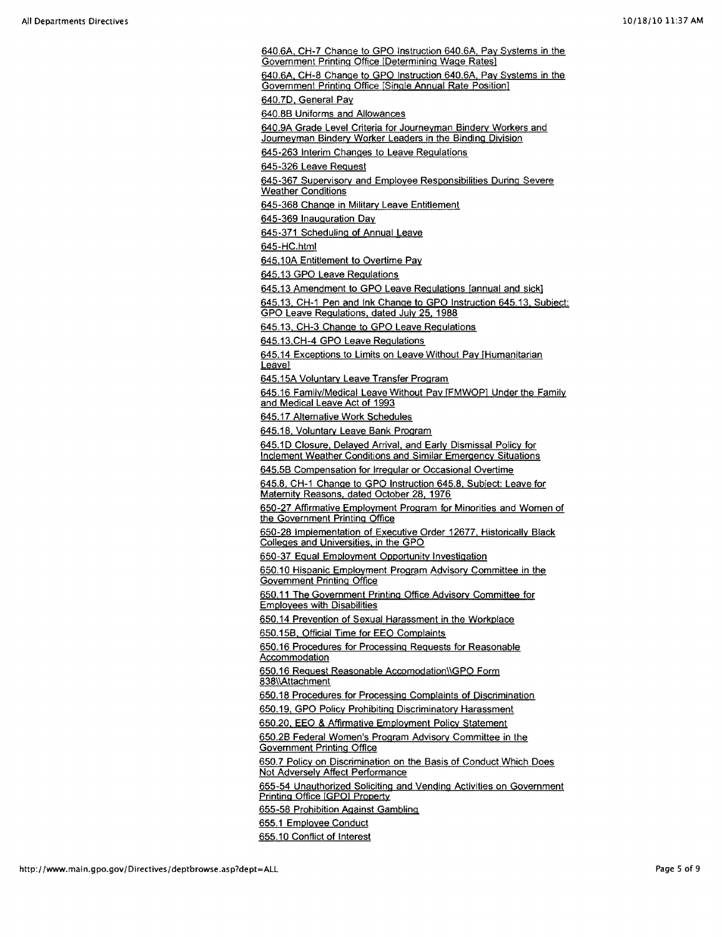640.6A. CH-7 Change to GPO Instruction 640.6A. Pay Systems in the Government Printing Office [Determining Wage Rates) 640.6A. CH-8 Change to GPO Instruction 640.6A. Pay Systems in the Government Printing Office [Single Annual Rate Position] 640.7D, General Pay 640.8B Uniforms and Allowances 640.9A Grade Level Criteria for Journeyman Bindery Workers and Journeyman Bindery Worker Leaders in the Binding Division 645-263 Interim Changes to Leave Regulations 645-326 Leave Request 645-367 Supervisory and Employee Responsibilities During Severe **Weather Conditions** 645-368 Change in Military Leave Entitlement 645-369 Inauguration Day 645-371 Scheduling of Annual Leave 645-HC.html 645.10A Entitlement to Overtime Pay 645.13 GPO Leave Regulations 645.13 Amendment to GPO Leave Regulations [annual and sickl 645.13. CH-1 Pen and Ink Change to GPO Instruction 645.13. Subject: GPO Leave Regulations. dated July 25. 1988 645.13. CH-3 Change to GPO Leave Regulations 645.13.CH-4 GPO Leave Regulations 645.14 Exceptions to Limits on Leave Without Pay IHumanitarian<br>Leavel<br>245.11 Million Line Line Line Company Company of Company Company Company Company Company Company Company Compa 645.15A Voluntary Leave Transfer Program 645.16 Family/Medical Leave Without Pay [FMWOPJ Under the Family and Medical Leave Act of 1993 645.17 Alternative Work Schedules 645.18. Voluntary Leave Bank Program 645.1D Closure, Delayed Arrival, and Early Dismissal Policy for Inclement Weather Conditions and Similar Emergency Situations 645.5B Compensation for Irregular or Occasional Overtime 645.8. CH-1 Change to GPO Instruction 645.8. Subject: Leave for Maternity Reasons. dated October 28, 1976 650-27 Affirmative Employment Program for Minorities and Women of the Government Printing Office 650-28 Implementation of Executive Order 12677. Historically Black Colleges and Universities. in the GPO 650-37 Equal Employment Opportunity Investigation 650.10 Hispanic Employment Program Advisory Committee in the **Government Printing Office** 650.11 The Government Printing Office Advisory Committee for Employees with Disabilities 650.14 Prevention of Sexual Harassment in the Workplace 650.15B. Official Time for EEO Complaints 650.16 Procedures for Processing Requests for Reasonable **Accommodation** 650.16 Request Reasonable Accomodation\\GPO Form 838\\Attachment 650.18 Procedures for Processing Complaints of Discrimination 650.19, GPO Policy Prohibiting Discriminatory Harassment 650.20. EEO & Affirmative Employment Policy Statement 650.28 Federal Women's Program Advisory Committee in the Government Printing Office 650.7 Policy on Discrimination on the Basis of Conduct Which Does Not Adversely Affect Performance 655-54 Unauthorized Soliciting and Vending Activities on Government Printing Office [GPOJ Property 655-58 Prohibition Against Gambling 655.1 Employee Conduct 655.10 Conflict of Interest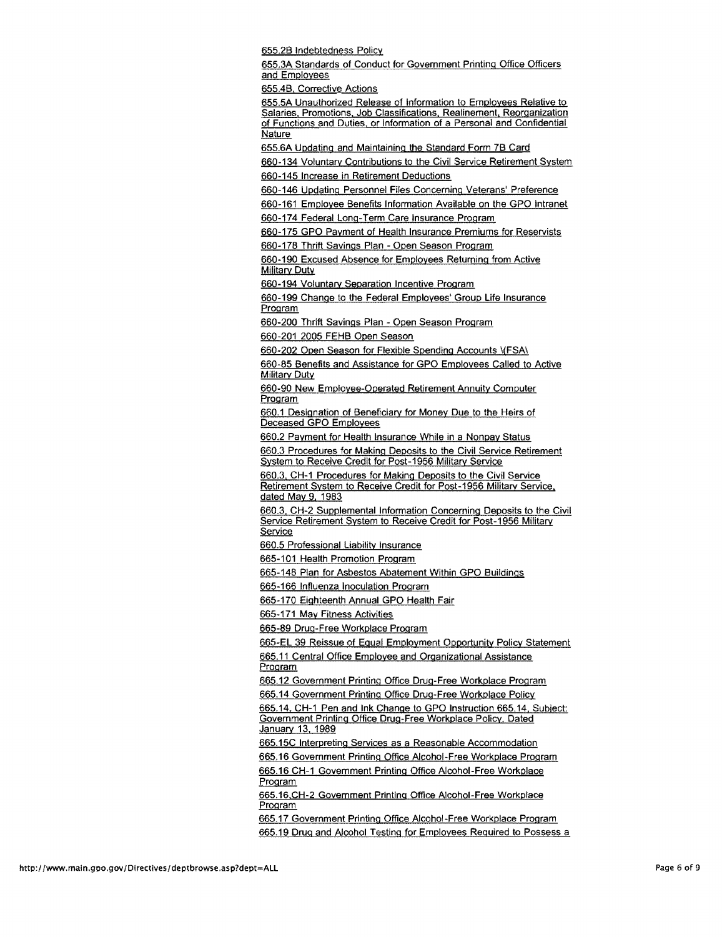655.28 Indebtedness Policy

655.3A Standards of Conduct for Government Printing Office Officers and Employees

655.48, Corrective Actions

655.5A Unauthorized Release of Information to Employees Relative to Salaries. Promotions. Job Classifications. Realinement, Reorganization of Functions and Duties. or Information of a Personal and Confidential Nature

655.6A Updating and Maintaining the Standard Form 7B Card

660-134 Voluntarv Contributions to the Civil Service Retirement System 660-145 Increase in Retirement Deductions

660-146 Updating Personnel Files Concerning Veterans' Preference

660-161 Employee Benefits Information Available on the GPO Intranet

660-174 Federal long-Term Care Insurance Program

660-175 GPO Payment of Health Insurance Premiums for Reservists

660-178 Thrift Savings Plan- Open Season Program

660-190 Excused Absence for Employees Returning from Active **Military Duty** 

660-194 Voluntary Seoaration Incentive Program

660-199 Change to the Federal Employees' Group life Insurance Program

660-200 Thrift Savings Plan - Open Season Program

660-201 2005 FEHB Open Season

660-202 Open Season for Flexible Spending Accounts \(FSA\)

660-85 Benefits and Assistance for GPO Employees Called to Active Military Duty

660-90 New Employee-Ogerated Retirement Annuity Computer Program

660.1 Designation of Beneficiary for Money Due to the Heirs of Deceased GPO Employees

660.2 Payment for Health Insurance While in a Nonpay Status

660.3 Procedures for Making Deposits to the Civil Service Retirement System to Receive Credit for Post-1956 Military Service

660.3. CH-1 Procedures for Making Deposits to the Civil Service Retirement System to Receive Credit for Post-1956 Military Service. dated May 9, 1983

660.3. CH-2 Supplemental Information Concerning Deposits to the Civil Service Retirement System to Receive Credit for Post-1956 Military Service

660.5 Professional liability Insurance

665-101 Health Promotion Program

665-148 Plan for Asbestos Abatement Within GPO Buildings

665-166 Influenza Inoculation Program

665-170 Eighteenth Annual GPO Health Fair

665-171 May Fitness Activities

665-89 Drug-Free Workplace Program

665-El 39 Reissue of Equal Employment Opportunity Policy Statement 665.11 Central Office Employee and Organizational Assistance Program

665.12 Government Printing Office Drug-Free Workplace Program

665.14 Government Printing Office Drug-Free Workplace Policy

665.14. CH-1 Pen and Ink Change to GPO Instruction 665.14. Subject: Government Printing Office Drug-Free Workplace Policy. Dated January 13, 1989

665.15C Interpreting Services as a Reasonable Accommodation

665.16 Government Printing Office Alcohol-Free Workplace Program

665.16 CH-1 Government Printing Office Alcohol-Free Workplace Program

665.16 CH-2 Government Printing Office Alcohol-Free Workplace Program

665.17 Government Printing Office Alcohol-Free Workplace Program

665.19 Drug and Alcohol Testing for Employees Required to Possess a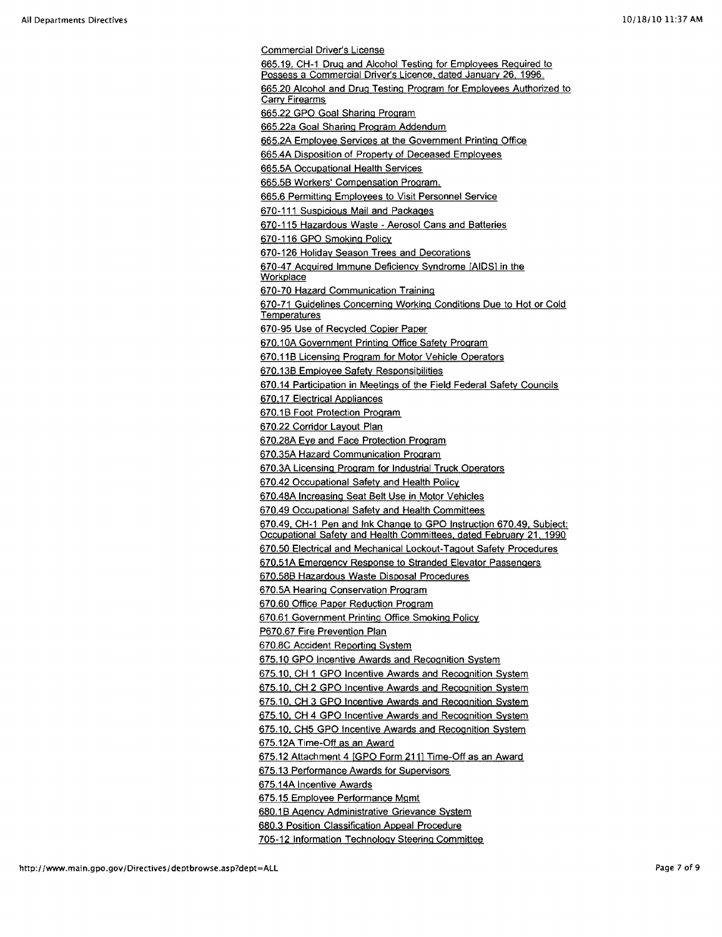Commercial Driver's License 665.19, CH-1 Drug and Alcohol Testing for Employees Required to Possess a Commercial Driver's Licence. dated January 26, 1996. 665.20 Alcohol and Drug Testing Program for Employees Authorized to Carry Firearms 665.22 GPO Goal Sharing Program 665.22a Goal Sharing Program Addendum 665.2A Employee Services at the Government Printing Office 665.4A Disposition of Property of Deceased Employees 665.5A Occupational Health Services 665.58 Workers' Compensation Program. 665.6 Permitting Employees to Visit Personnel Service 670-111 Suspicious Mail and Packages 670-115 Hazardous Waste- Aerosol Cans and Batteries 670-116 GPO Smoking Policy 670-126 Holiday Season Trees and Decorations 670-47 Acquired Immune Deficiency Syndrome [AIDSJ in the **Workplace** 670-70 Hazard Communication Training 670-71 Guidelines Concerning Working Conditions Due to Hot or Cold Temperatures 670-95 Use of Recycled Copier Paper 670.10A Government Printing Office Safety Program 670.11B Licensing Program for Motor Vehicle Operators 670.138 Employee Safety Responsibilities 670.14 Participation in Meetings of the Field Federal Safety Councils 670.17 Electrical Appliances 670.1 B Foot Protection Program 670.22 Corridor Layout Plan 670.28A Eye and Face Protection Program 670.35A Hazard Communication Program 670.3A Licensing Program for Industrial Truck Operators 670.42 Occupational Safety and Health Policy 670.48A Increasing Seat Belt Use in Motor Vehicles 670.49 Occupational Safety and Health Committees 670.49. CH-1 Pen and Ink Change to GPO Instruction 670.49. Subject: Occupational Safety and Health Committees, dated February 21, 1990 670.50 Electrical and Mechanical Lockout-Tagout Safety Procedures 670.51A Emergency Response to Stranded Elevator Passengers 670.588 Hazardous Waste Disposal Procedures 670.5A Hearing Conservation Program 670.60 Office Paper Reduction Program 670.61 Government Printing Office Smoking Policy P670.67 Fire Prevention Plan 670.8C Accident Reporting System 675.10 GPO Incentive Awards and Recognition System 675.10. CH 1 GPO Incentive Awards and Recognition System 675.10. CH 2 GPO Incentive Awards and Recognition System 675.10. CH 3 GPO Incentive Awards and Recognition System 675.10. CH 4 GPO Incentive Awards and Recognition System 675.10. CH5 GPO Incentive Awards and Recognition System 675.12A Time-Off as an Award 675.12 Attachment 4 [GPO Form 2111 Time-Off as an Award 675.13 Performance Awards for Supervisors 675.14A Incentive Awards 675.15 Employee Performance Mgmt 680.1B Agency Administrative Grievance System 680.3 Position Classification Appeal Procedure 705-12 Information Technology Steering Committee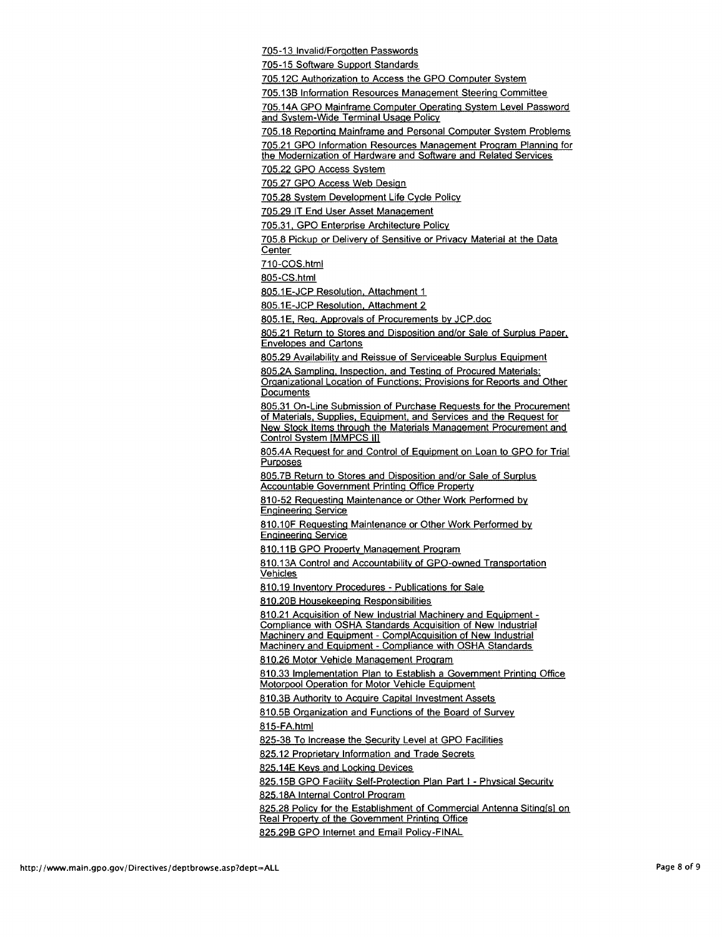705-13 Invalid/Forgotten Passwords

705-15 Software Support Standards

705.12C Authorization to Access the GPO Computer System

705.138 Information Resources Management Steering Committee

705.14A GPO Mainframe Computer Operating System Level Password and System-Wide Terminal Usage Policy

705.18 Reporting Mainframe and Personal Computer System Problems

705.21 GPO Information Resources Management Program Planning for the Modernization of Hardware and Software and Related Services

705.22 GPO Access System

705.27 GPO Access Web Design

705.28 System Development Life Cycle Policy

705.29 IT End User Asset Management

705.31. GPO Enterprise Architecture Policy

705.8 Pickup or Delivery of Sensitive or Privacy Material at the Data Center

710-COS.html

805-CS.html

805.1E-JCP Resolution, Attachment 1

805.1E-JCP Resolution. Attachment 2

805.1 E, Req. Approvals of Procurements by JCP.doc

805.21 Return to Stores and Disposition and/or Sale of Surplus Paper. Envelopes and Cartons

805.29 Availability and Reissue of Serviceable Surplus Equipment

805.2A Sampling. Inspection. and Testing of Procured Materials:

Organizational Location of Functions: Provisions for Reports and Other **Documents** 

805.31 On-Line Submission of Purchase Requests for the Procurement of Materials. Supplies. Equipment. and Services and the Request for New Stock Items through the Materials Management Procurement and Control System [MMPCS II]

805.4A Request for and Control of Equipment on Loan to GPO for Trial Purposes

805.78 Return to Stores and Disposition and/or Sale of Surplus Accountable Government Printing Office Property

810-52 Requesting Maintenance or Other Work Performed by Engineering Service

810.10F Requesting Maintenance or Other Work Performed by Engineering Service

810.11B GPO Property Management Program

810,13A Control and Accountability of GPO-owned Transportation Vehicles

810.19 Inventory Procedures- Publications for Sale

810.208 Housekeeping Responsibilities

810.21 Acquisition of New Industrial Machinery and Equipment - Compliance with OSHA Standards Acquisition of New Industrial Machinery and Equipment - CompiAcquisition of New Industrial Machinery and Equipment - Compliance with OSHA Standards

810.26 Motor Vehicle Management Program

810.33 Implementation Plan to Establish a Government Printing Office Motorpool Operation for Motor Vehicle Equipment

810.38 Authority to Acquire Capital Investment Assets

810.58 Organization and Functions of the Board of Survey

815-FA.html

825-38 To Increase the Security Level at GPO Facilities

825.12 Proprietary Information and Trade Secrets

825.14E Keys and Locking Devices

825.15B GPO Facility Self-Protection Plan Part I - Physical Security

825.18A Internal Control Program

825.28 Policy for the Establishment of Commercial Antenna Siting[s] on Real Property of the Government Printing Office

825.298 GPO Internet and Email Policy-FINAL